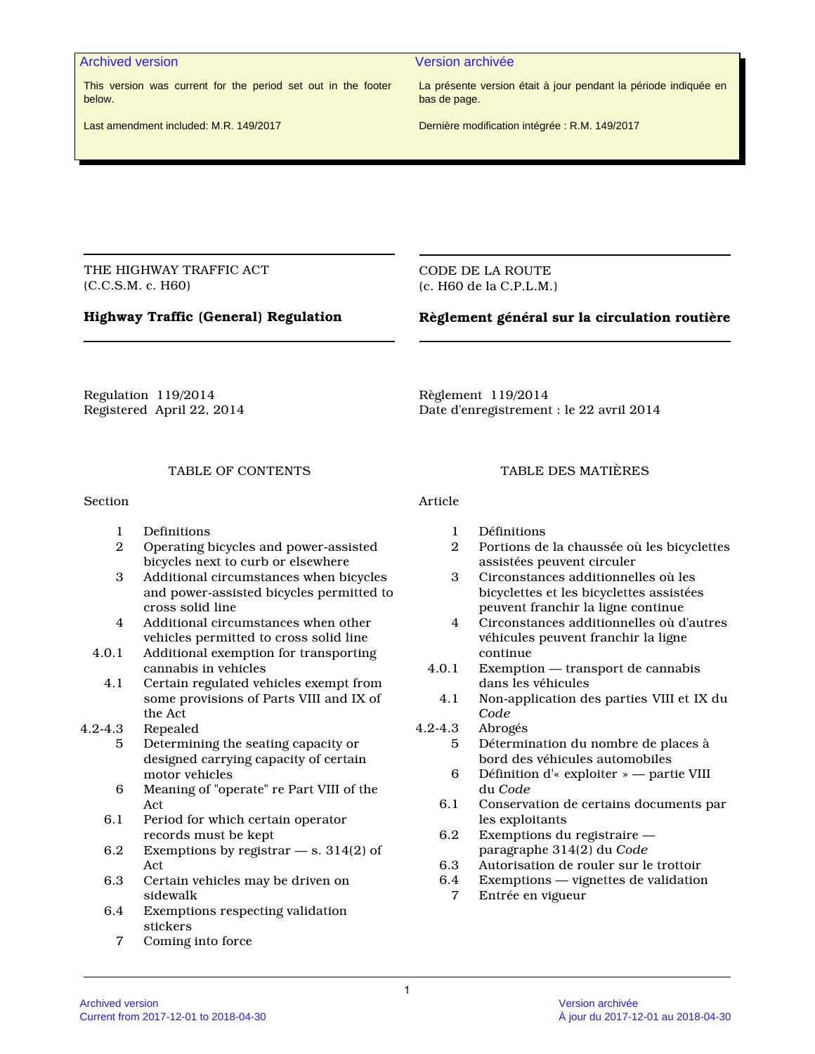### Archived version Version archivée

This version was current for the period set out in the footer below.

La présente version était à jour pendant la période indiquée en bas de page.

Last amendment included: M.R. 149/2017

Dernière modification intégrée : R.M. 149/2017

THE HIGHWAY TRAFFIC ACT (C.C.S.M. c. H60)

CODE DE LA ROUTE (c. H60 de la C.P.L.M.)

# **Highway Traffic (General) Regulation**

# **Règlement général sur la circulation routière**

Regulation 119/2014 Registered April 22, 2014 Règlement 119/2014 Date d'enregistrement : le 22 avril 2014

# TABLE OF CONTENTS

Section

- 1 Definitions
- 2 Operating bicycles and power-assisted bicycles next to curb or elsewhere
- 3 Additional circumstances when bicycles and power-assisted bicycles permitted to cross solid line
- 4 Additional circumstances when other vehicles permitted to cross solid line
- 4.0.1 Additional exemption for transporting cannabis in vehicles
	- 4.1 Certain regulated vehicles exempt from some provisions of Parts VIII and IX of the Act
- 4.2-4.3 Repealed
	- 5 Determining the seating capacity or designed carrying capacity of certain motor vehicles
	- 6 Meaning of "operate" re Part VIII of the Act
	- 6.1 Period for which certain operator records must be kept
	- 6.2 Exemptions by registrar s. 314(2) of Act
	- 6.3 Certain vehicles may be driven on sidewalk
	- 6.4 Exemptions respecting validation stickers
		- 7 Coming into force

### TABLE DES MATIÈRES

Article

- 1 Définitions
- 2 Portions de la chaussée où les bicyclettes assistées peuvent circuler
- 3 Circonstances additionnelles où les bicyclettes et les bicyclettes assistées peuvent franchir la ligne continue
- 4 Circonstances additionnelles où d'autres véhicules peuvent franchir la ligne continue
- 4.0.1 Exemption transport de cannabis dans les véhicules
- 4.1 Non-application des parties VIII et IX du *Code*
- 4.2-4.3 Abrogés
	- 5 Détermination du nombre de places à bord des véhicules automobiles
		- 6 Définition d'« exploiter » partie VIII du *Code*
	- 6.1 Conservation de certains documents par les exploitants
	- 6.2 Exemptions du registraire paragraphe 314(2) du *Code*
	- 6.3 Autorisation de rouler sur le trottoir<br>6.4 Exemptions vignettes de validation
	- Exemptions vignettes de validation
		- 7 Entrée en vigueur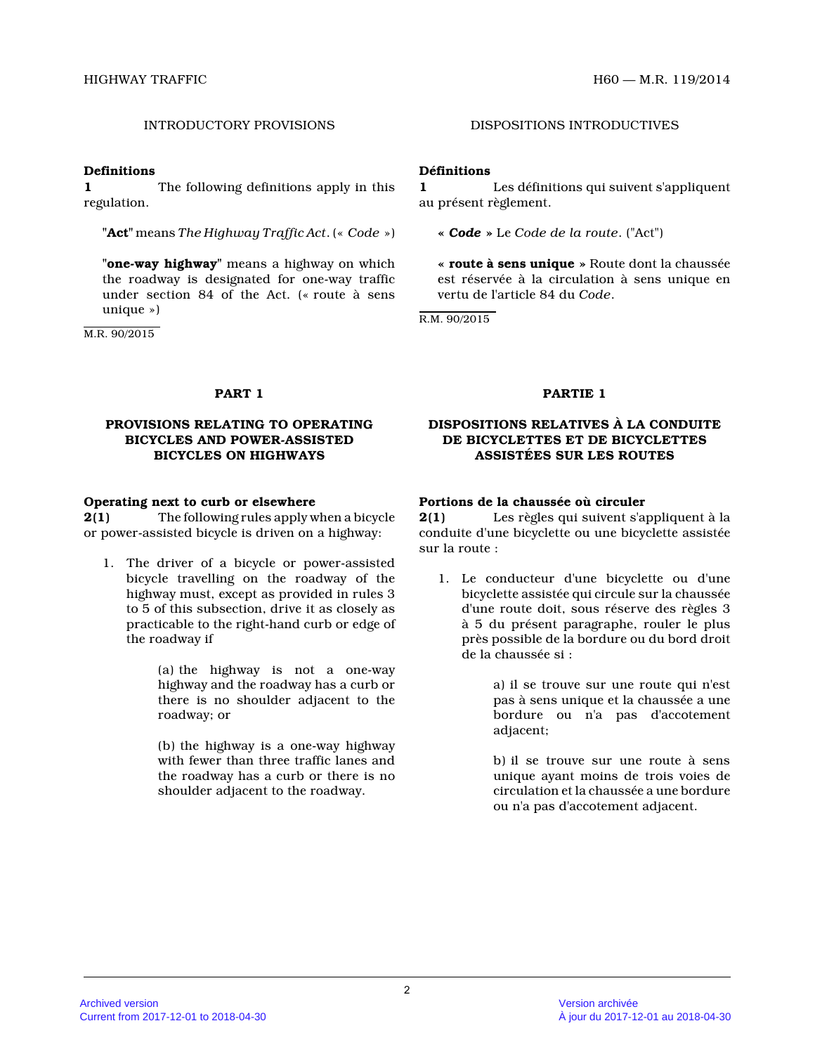### **Definitions**

**1** The following definitions apply in this regulation.

**"Act"** means *The Highway Traffic Act*. (« *Code* »)

**"one-way highway"** means a highway on which the roadway is designated for one-way traffic under section 84 of the Act. (« route à sens unique »)

M.R. 90/2015

# INTRODUCTORY PROVISIONS DISPOSITIONS INTRODUCTIVES

# **Définitions**

**1** Les définitions qui suivent s'appliquent au présent règlement.

**«** *Code* **»** Le *Code de la route*. ("Act")

**« route à sens unique »** Route dont la chaussée est réservée à la circulation à sens unique en vertu de l'article 84 du *Code* .

R.M. 90/2015

## **PROVISIONS RELATING TO OPERATING BICYCLES AND POWER-ASSISTED BICYCLES ON HIGHWAYS**

### **Operating next to curb or elsewhere**

**2(1)** The following rules apply when a bicycle or power-assisted bicycle is driven on a highway:

1. The driver of a bicycle or power-assisted bicycle travelling on the roadway of the highway must, except as provided in rules 3 to 5 of this subsection, drive it as closely as practicable to the right-hand curb or edge of the roadway if

> (a) the highway is not a one-way highway and the roadway has a curb or there is no shoulder adjacent to the roadway; or

> (b) the highway is a one-way highway with fewer than three traffic lanes and the roadway has a curb or there is no shoulder adjacent to the roadway.

### **PART 1 PARTIE 1**

# **DISPOSITIONS RELATIVES À LA CONDUITE DE BICYCLETTES ET DE BICYCLETTES ASSISTÉES SUR LES ROUTES**

# **Portions de la chaussée où circuler**

**2(1)** Les règles qui suivent s'appliquent à la conduite d'une bicyclette ou une bicyclette assisté e sur la route :

1. Le conducteur d'une bicyclette ou d'une bicyclette assistée qui circule sur la chaussée d'une route doit, sous réserve des règles 3 à 5 du présent paragraphe, rouler le plus près possible de la bordure ou du bord droit de la chaussée si :

> a) il se trouve sur une route qui n'est pas à sens unique et la chaussée a une bordure ou n'a pas d'accotement adjacent;

> b) il se trouve sur une route à sens unique ayant moins de trois voies de circulation et la chaussée a une bordure ou n'a pas d'accotement adjacent.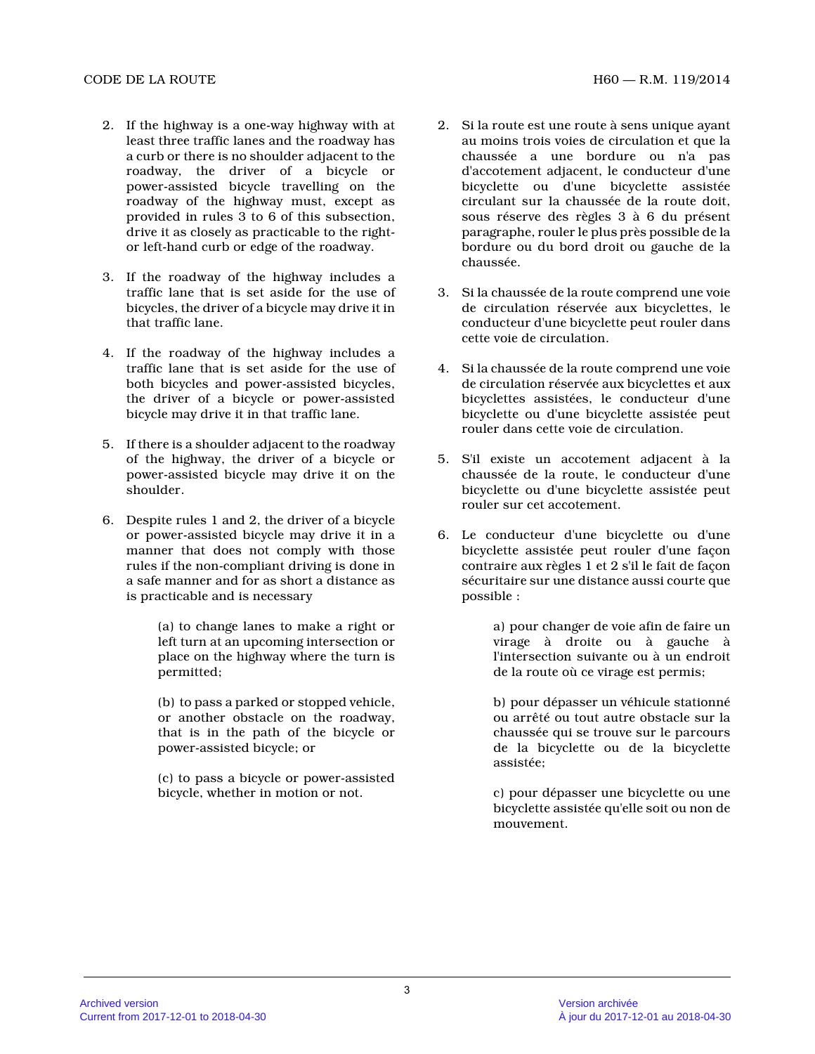- 2. If the highway is a one-way highway with at least three traffic lanes and the roadway has a curb or there is no shoulder adjacent to the roadway, the driver of a bicycle or power-assisted bicycle travelling on the roadway of the highway must, except as provided in rules 3 to 6 of this subsection, drive it as closely as practicable to the rightor left-hand curb or edge of the roadway.
- 3. If the roadway of the highway includes a traffic lane that is set aside for the use of bicycles, the driver of a bicycle may drive it in that traffic lane.
- 4. If the roadway of the highway includes a traffic lane that is set aside for the use of both bicycles and power-assisted bicycles, the driver of a bicycle or power-assisted bicycle may drive it in that traffic lane.
- 5. If there is a shoulder adjacent to the roadway of the highway, the driver of a bicycle or power-assisted bicycle may drive it on the shoulder.
- 6. Despite rules 1 and 2, the driver of a bicycle or power-assisted bicycle may drive it in a manner that does not comply with those rules if the non-compliant driving is done in a safe manner and for as short a distance as is practicable and is necessary

(a) to change lanes to make a right or left turn at an upcoming intersection or place on the highway where the turn is permitted;

(b) to pass a parked or stopped vehicle, or another obstacle on the roadway, that is in the path of the bicycle or power-assisted bicycle; or

(c) to pass a bicycle or power-assisted bicycle, whether in motion or not.

- 2. Si la route est une route à sens unique ayant au moins trois voies de circulation et que la chaussée a une bordure ou n'a pas d'accotement adjacent, le conducteur d'une bicyclette ou d'une bicyclette assistée circulant sur la chaussée de la route doit, sous réserve des règles 3 à 6 du présent paragraphe, rouler le plus près possible de la bordure ou du bord droit ou gauche de la chaussée.
- 3. Si la chaussée de la route comprend une voie de circulation réservée aux bicyclettes, le conducteur d'une bicyclette peut rouler dans cette voie de circulation.
- 4. Si la chaussée de la route comprend une voie de circulation réservée aux bicyclettes et aux bicyclettes assistées, le conducteur d'une bicyclette ou d'une bicyclette assistée peut rouler dans cette voie de circulation.
- 5. S'il existe un accotement adjacent à la chaussée de la route, le conducteur d'une bicyclette ou d'une bicyclette assistée peut rouler sur cet accotement.
- 6. Le conducteur d'une bicyclette ou d'une bicyclette assistée peut rouler d'une façon contraire aux règles 1 et 2 s'il le fait de façon sécuritaire sur une distance aussi courte que possible :

a) pour changer de voie afin de faire un virage à droite ou à gauche à l'intersection suivante ou à un endroit de la route où ce virage est permis;

b) pour dépasser un véhicule stationné ou arrêté ou tout autre obstacle sur la chaussée qui se trouve sur le parcours de la bicyclette ou de la bicyclette assistée;

c) pour dépasser une bicyclette ou une bicyclette assistée qu'elle soit ou non de mouvement.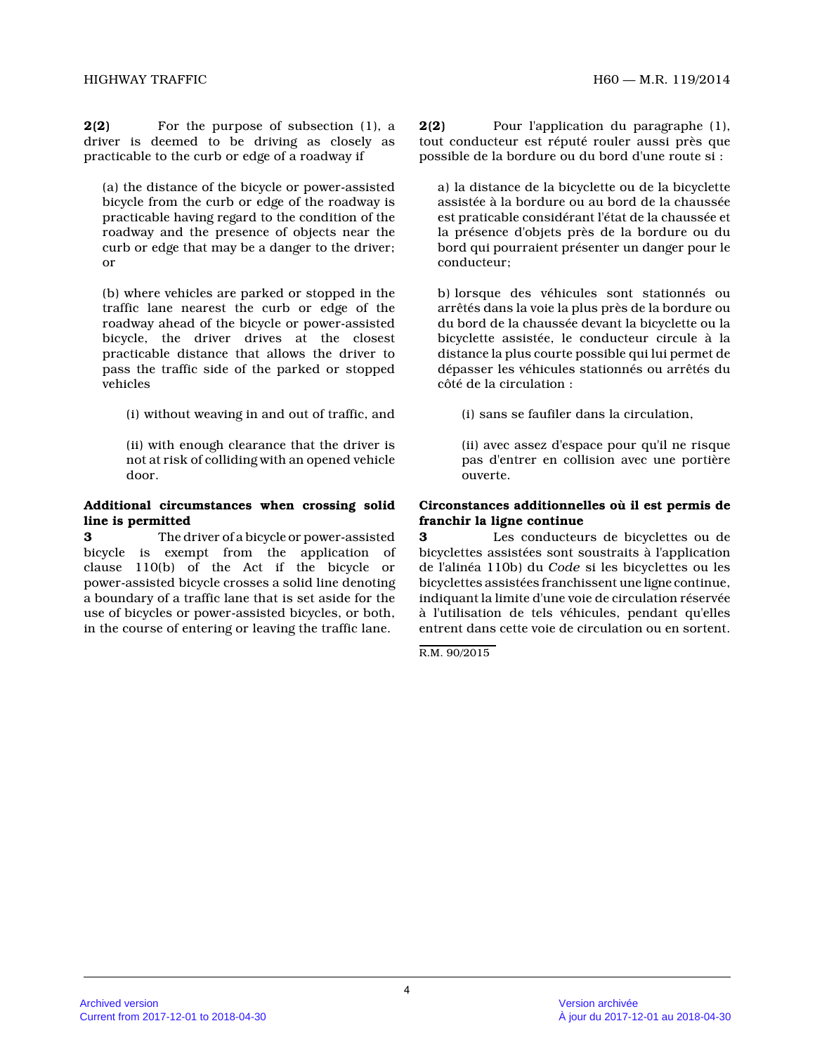**2(2)** For the purpose of subsection (1), a driver is deemed to be driving as closely as practicable to the curb or edge of a roadway if

(a) the distance of the bicycle or power-assisted bicycle from the curb or edge of the roadway is practicable having regard to the condition of the roadway and the presence of objects near the curb or edge that may be a danger to the driver; or

(b) where vehicles are parked or stopped in the traffic lane nearest the curb or edge of the roadway ahead of the bicycle or power-assisted bicycle, the driver drives at the closest practicable distance that allows the driver to pass the traffic side of the parked or stopped vehicles

(i) without weaving in and out of traffic, and

(ii) with enough clearance that the driver is not at risk of colliding with an opened vehicle door.

### **Additional circumstances when crossing solid line is permitted**

**3** The driver of a bicycle or power-assisted bicycle is exempt from the application of clause 110(b) of the Act if the bicycle or power-assisted bicycle crosses a solid line denotin g a boundary of a traffic lane that is set aside for the use of bicycles or power-assisted bicycles, or both , in the course of entering or leaving the traffic lane.

**2(2)** Pour l'application du paragraphe (1), tout conducteur est réputé rouler aussi près que possible de la bordure ou du bord d'une route si :

a) la distance de la bicyclette ou de la bicyclette assistée à la bordure ou au bord de la chaussée est praticable considérant l'état de la chaussée et la présence d'objets près de la bordure ou du bord qui pourraient présenter un danger pour le conducteur;

b) lorsque des véhicules sont stationnés ou arrêtés dans la voie la plus près de la bordure ou du bord de la chaussée devant la bicyclette ou la bicyclette assistée, le conducteur circule à la distance la plus courte possible qui lui permet de dépasser les véhicules stationnés ou arrêtés du côté de la circulation :

(i) sans se faufiler dans la circulation,

(ii) avec assez d'espace pour qu'il ne risque pas d'entrer en collision avec une portière ouverte.

# **Circonstances additionnelles où il est permis de franchir la ligne continue**

**3** Les conducteurs de bicyclettes ou de bicyclettes assistées sont soustraits à l'application de l'alinéa 110b) du *Code* si les bicyclettes ou les bicyclettes assistées franchissent une ligne continue, indiquant la limite d'une voie de circulation réservée à l'utilisation de tels véhicules, pendant qu'elles entrent dans cette voie de circulation ou en sortent.

R.M. 90/2015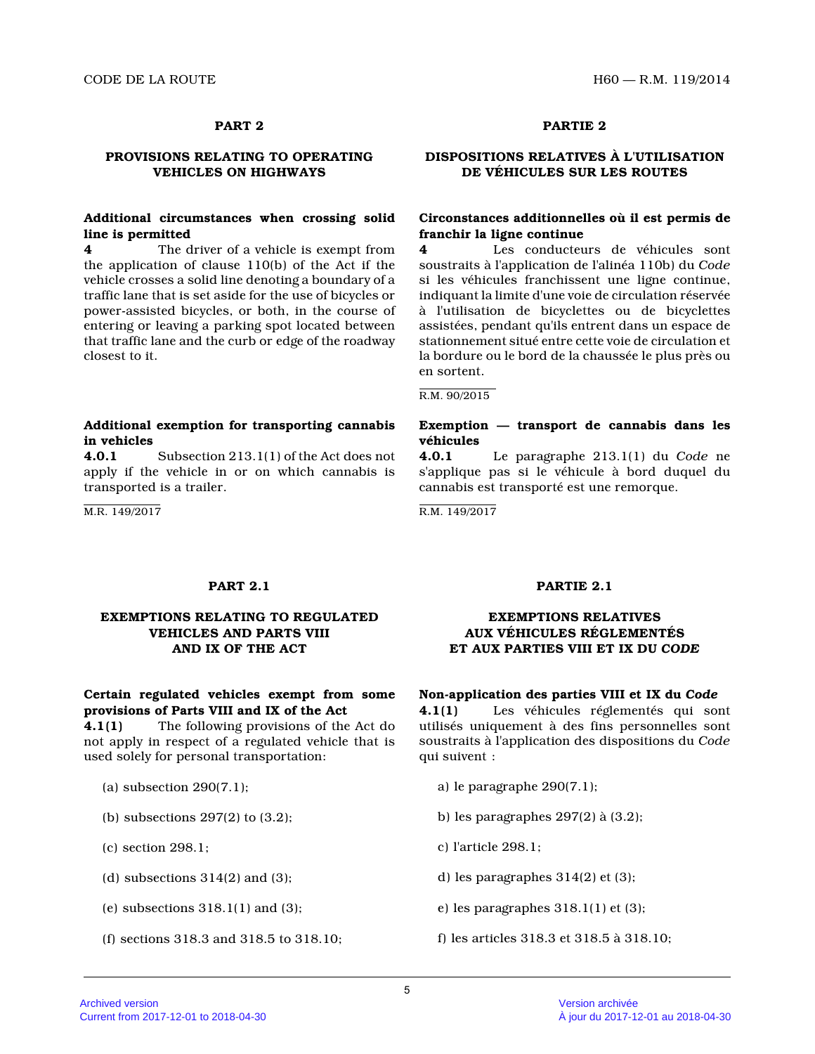## **PROVISIONS RELATING TO OPERATING VEHICLES ON HIGHWAYS**

## **Additional circumstances when crossing solid line is permitted**

**4** The driver of a vehicle is exempt from the application of clause 110(b) of the Act if the vehicle crosses a solid line denoting a boundary of a traffic lane that is set aside for the use of bicycles or power-assisted bicycles, or both, in the course of entering or leaving a parking spot located between that traffic lane and the curb or edge of the roadway closest to it.

## **Additional exemption for transporting cannabis in vehicles**

**4.0.1** Subsection 213.1(1) of the Act does not apply if the vehicle in or on which cannabis is transported is a trailer.

M.R. 149/2017

# **PART 2 PARTIE 2**

# **DISPOSITIONS RELATIVES À L'UTILISATION DE VÉHICULES SUR LES ROUTES**

# **Circonstances additionnelles où il est permis de franchir la ligne continue**

**4** Les conducteurs de véhicules sont soustraits à l'application de l'alinéa 110b) du *Code* si les véhicules franchissent une ligne continue, indiquant la limite d'une voie de circulation réservée à l'utilisation de bicyclettes ou de bicyclettes assistées, pendant qu'ils entrent dans un espace de stationnement situé entre cette voie de circulation et la bordure ou le bord de la chaussée le plus près o u en sortent.

### R.M. 90/2015

## **Exemption — transport de cannabis dans les véhicules**

**4.0.1** Le paragraphe 213.1(1) du *Code* ne s'applique pas si le véhicule à bord duquel du cannabis est transporté est une remorque.

R.M. 149/2017

# **EXEMPTIONS RELATING TO REGULATED VEHICLES AND PARTS VIII AND IX OF THE ACT**

# **Certain regulated vehicles exempt from some provisions of Parts VIII and IX of the Act**

**4.1(1)** The following provisions of the Act do not apply in respect of a regulated vehicle that is used solely for personal transportation:

- (a) subsection 290(7.1);
- (b) subsections 297(2) to (3.2);
- (c) section 298.1;
- (d) subsections  $314(2)$  and  $(3)$ ;
- (e) subsections  $318.1(1)$  and  $(3)$ ;
- (f) sections 318.3 and 318.5 to 318.10;

### **PART 2.1 PARTIE 2.1**

# **EXEMPTIONS RELATIVES AUX VÉHICULES RÉGLEMENTÉS ET AUX PARTIES VIII ET IX DU** *CODE*

### **Non-application des parties VIII et IX du** *Code*

**4.1(1)** Les véhicules réglementés qui sont utilisés uniquement à des fins personnelles sont soustraits à l'application des dispositions du *Code* qui suivent :

- a) le paragraphe 290(7.1);
- b) les paragraphes 297(2) à (3.2);
- c) l'article 298.1;
- d) les paragraphes 314(2) et (3);
- e) les paragraphes 318.1(1) et (3);
- f) les articles 318.3 et 318.5 à 318.10;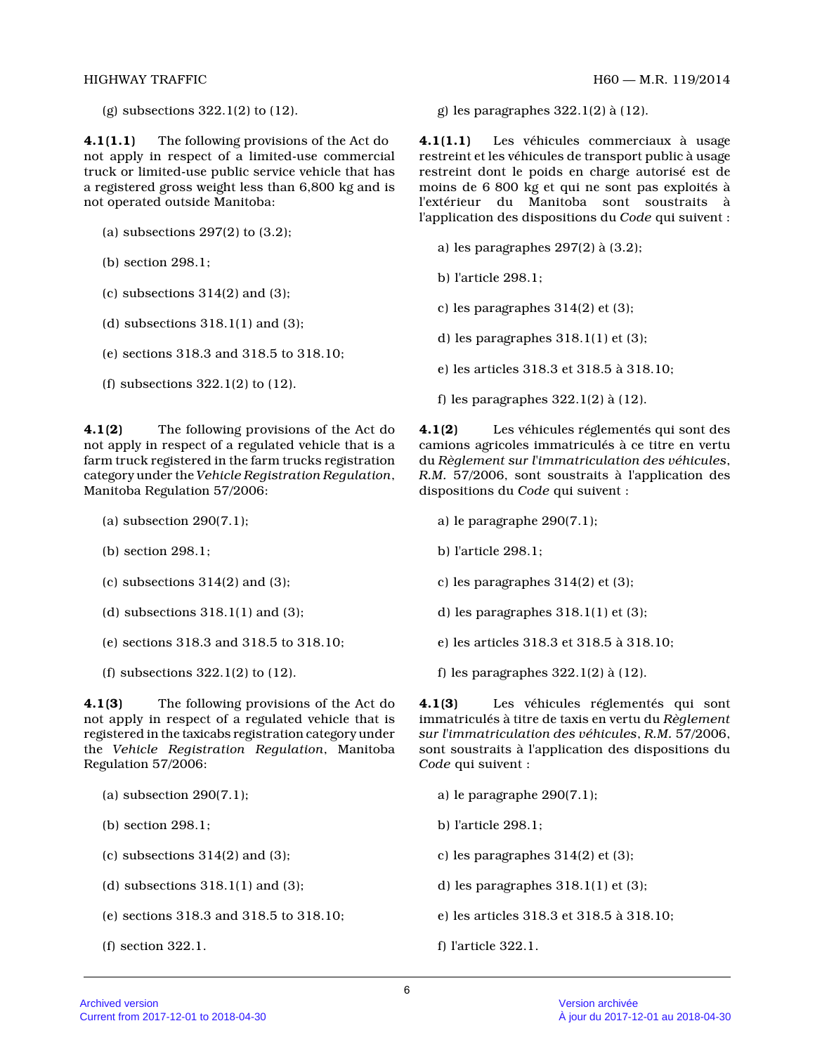**4.1(1.1)** The following provisions of the Act do not apply in respect of a limited-use commercial truck or limited-use public service vehicle that ha s a registered gross weight less than 6,800 kg and is not operated outside Manitoba:

- (a) subsections 297(2) to (3.2);
- (b) section 298.1;
- (c) subsections  $314(2)$  and  $(3)$ ;
- (d) subsections  $318.1(1)$  and  $(3)$ ;
- (e) sections 318.3 and 318.5 to 318.10;
- (f) subsections 322.1(2) to (12).

**4.1(2)** The following provisions of the Act do not apply in respect of a regulated vehicle that is a farm truck registered in the farm trucks registration category under the *Vehicle Registration Regulation* , Manitoba Regulation 57/2006:

- (a) subsection 290(7.1);
- (b) section 298.1;
- (c) subsections  $314(2)$  and  $(3)$ ;
- (d) subsections  $318.1(1)$  and  $(3)$ ;
- (e) sections 318.3 and 318.5 to 318.10;
- (f) subsections 322.1(2) to (12).

**4.1(3)** The following provisions of the Act do not apply in respect of a regulated vehicle that is registered in the taxicabs registration category under the *Vehicle Registration Regulation*, Manitoba Regulation 57/2006:

- (a) subsection 290(7.1);
- (b) section 298.1;
- (c) subsections  $314(2)$  and  $(3)$ ;
- (d) subsections  $318.1(1)$  and  $(3)$ ;
- (e) sections 318.3 and 318.5 to 318.10;
- (f) section 322.1.

(g) subsections  $322.1(2)$  to  $(12)$ . g) les paragraphes  $322.1(2)$  à  $(12)$ .

**4.1(1.1)** Les véhicules commerciaux à usage restreint et les véhicules de transport public à usage restreint dont le poids en charge autorisé est de moins de 6 800 kg et qui ne sont pas exploités à l'extérieur du Manitoba sont soustraits à l'application des dispositions du *Code* qui suivent :

- a) les paragraphes 297(2) à (3.2);
- b) l'article 298.1;
- c) les paragraphes 314(2) et (3);
- d) les paragraphes 318.1(1) et (3);
- e) les articles 318.3 et 318.5 à 318.10;
- f) les paragraphes 322.1(2) à (12).

**4.1(2)** Les véhicules réglementés qui sont des camions agricoles immatriculés à ce titre en vertu du *Règlement sur l'immatriculation des véhicules* , *R.M.* 57/2006, sont soustraits à l'application des dispositions du *Code* qui suivent :

- a) le paragraphe 290(7.1);
- b) l'article 298.1;
- c) les paragraphes 314(2) et (3);
- d) les paragraphes 318.1(1) et (3);
- e) les articles 318.3 et 318.5 à 318.10;
- f) les paragraphes 322.1(2) à (12).

**4.1(3)** Les véhicules réglementés qui sont immatriculés à titre de taxis en vertu du *Règlement sur l'immatriculation des véhicules*, *R.M.* 57/2006, sont soustraits à l'application des dispositions du *Code* qui suivent :

a) le paragraphe 290(7.1);

- b) l'article 298.1;
- c) les paragraphes 314(2) et (3);
- d) les paragraphes 318.1(1) et (3);
- e) les articles 318.3 et 318.5 à 318.10;
- f) l'article 322.1.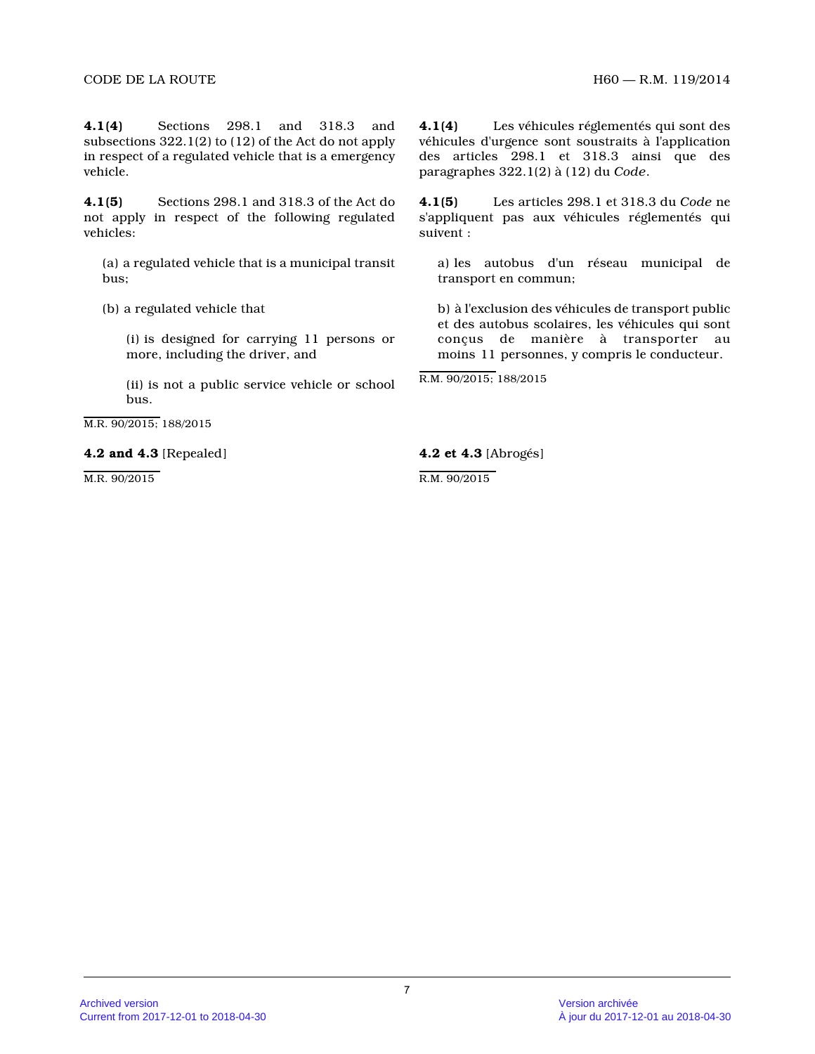**4.1(4)** Sections 298.1 and 318.3 and subsections 322.1(2) to (12) of the Act do not appl y in respect of a regulated vehicle that is a emergency vehicle.

**4.1(5)** Sections 298.1 and 318.3 of the Act do not apply in respect of the following regulated vehicles:

(a) a regulated vehicle that is a municipal transit bus;

(b) a regulated vehicle that

(i) is designed for carrying 11 persons or more, including the driver, and

(ii) is not a public service vehicle or school bus.

M.R. 90/2015; 188/2015

### **4.2 and 4.3** [Repealed]

M.R. 90/2015

**4.1(4)** Les véhicules réglementés qui sont des véhicules d'urgence sont soustraits à l'application des articles 298.1 et 318.3 ainsi que des paragraphes 322.1(2) à (12) du *Code* .

**4.1(5)** Les articles 298.1 et 318.3 du *Code* ne s'appliquent pas aux véhicules réglementés qui suivent :

a) les autobus d'un réseau municipal de transport en commun;

b) à l'exclusion des véhicules de transport public et des autobus scolaires, les véhicules qui sont conçus de manière à transporter au moins 11 personnes, y compris le conducteur.

R.M. 90/2015; 188/2015

**4.2 et 4.3** [Abrogés]

R.M. 90/2015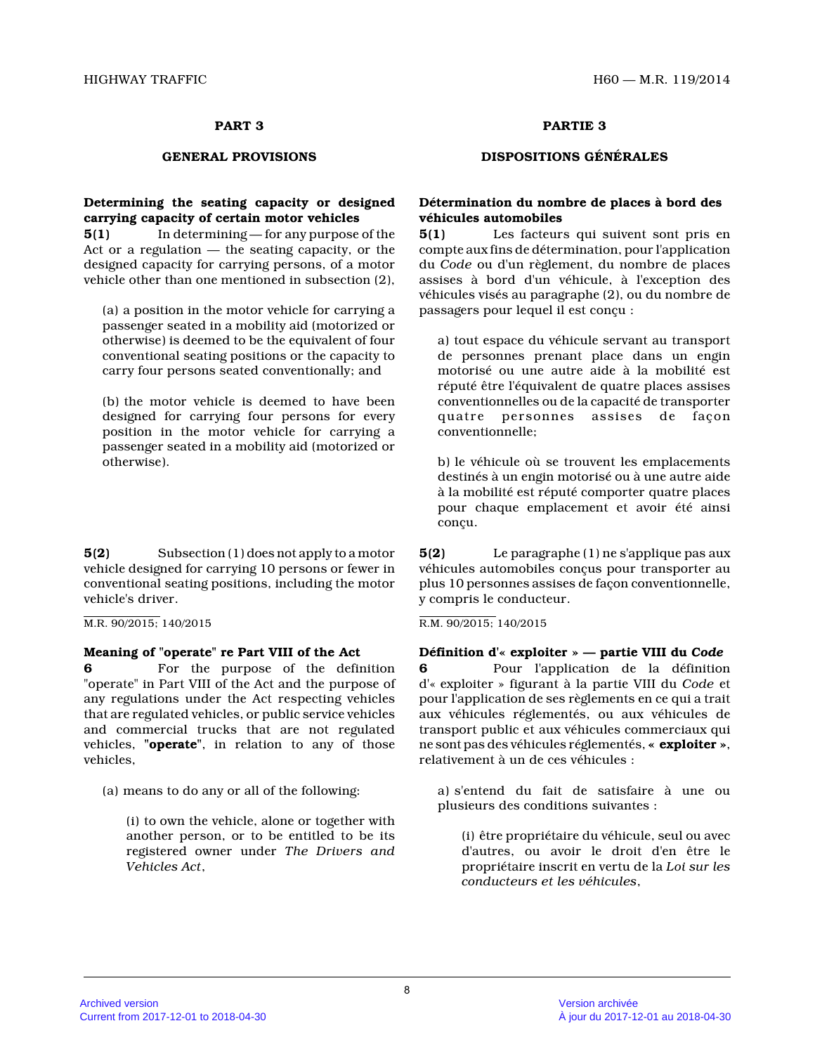# **Determining the seating capacity or designed carrying capacity of certain motor vehicles**

**5(1)** In determining — for any purpose of the Act or a regulation — the seating capacity, or the designed capacity for carrying persons, of a motor vehicle other than one mentioned in subsection (2),

(a) a position in the motor vehicle for carrying a passenger seated in a mobility aid (motorized or otherwise) is deemed to be the equivalent of four conventional seating positions or the capacity to carry four persons seated conventionally; and

(b) the motor vehicle is deemed to have been designed for carrying four persons for every position in the motor vehicle for carrying a passenger seated in a mobility aid (motorized or otherwise).

**5(2)** Subsection (1) does not apply to a motor vehicle designed for carrying 10 persons or fewer i n conventional seating positions, including the motor vehicle's driver.

M.R. 90/2015; 140/2015

# **Meaning of "operate" re Part VIII of the Act**

**6** For the purpose of the definition "operate" in Part VIII of the Act and the purpose o f any regulations under the Act respecting vehicles that are regulated vehicles, or public service vehicles and commercial trucks that are not regulated vehicles, **"operate"**, in relation to any of those vehicles,

(a) means to do any or all of the following:

(i) to own the vehicle, alone or together with another person, or to be entitled to be its registered owner under *The Drivers and Vehicles Act* ,

**PART 3 PARTIE 3**

# **GENERAL PROVISIONS DISPOSITIONS GÉNÉRALES**

# **Détermination du nombre de places à bord des véhicules automobiles**

**5(1)** Les facteurs qui suivent sont pris en compte aux fins de détermination, pour l'applicatio n du *Code* ou d'un règlement, du nombre de places assises à bord d'un véhicule, à l'exception des véhicules visés au paragraphe (2), ou du nombre de passagers pour lequel il est conçu :

a) tout espace du véhicule servant au transport de personnes prenant place dans un engin motorisé ou une autre aide à la mobilité est réputé être l'équivalent de quatre places assises conventionnelles ou de la capacité de transporter quatre personnes assises de façon conventionnelle;

b) le véhicule où se trouvent les emplacements destinés à un engin motorisé ou à une autre aide à la mobilité est réputé comporter quatre places pour chaque emplacement et avoir été ainsi conçu.

**5(2)** Le paragraphe (1) ne s'applique pas aux véhicules automobiles conçus pour transporter au plus 10 personnes assises de façon conventionnelle, y compris le conducteur.

R.M. 90/2015; 140/2015

**Définition d'« exploiter » — partie VIII du** *Code* **6** Pour l'application de la définition d'« exploiter » figurant à la partie VIII du *Code* et pour l'application de ses règlements en ce qui a trait aux véhicules réglementés, ou aux véhicules de transport public et aux véhicules commerciaux qui ne sont pas des véhicules réglementés, **« exploiter »** , relativement à un de ces véhicules :

a) s'entend du fait de satisfaire à une ou plusieurs des conditions suivantes :

(i) être propriétaire du véhicule, seul ou avec d'autres, ou avoir le droit d'en être le propriétaire inscrit en vertu de la *Loi sur les conducteurs et les véhicules* ,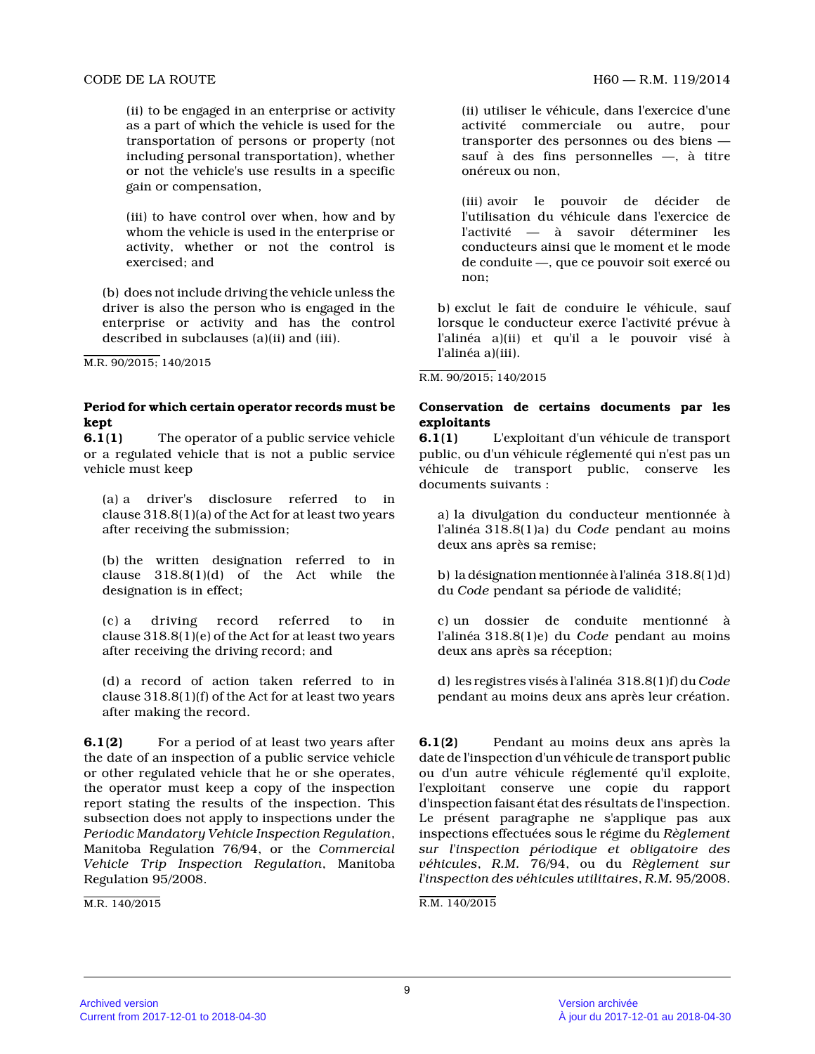(ii) to be engaged in an enterprise or activity as a part of which the vehicle is used for the transportation of persons or property (not including personal transportation), whether or not the vehicle's use results in a specific gain or compensation,

(iii) to have control over when, how and by whom the vehicle is used in the enterprise or activity, whether or not the control is exercised; and

(b) does not include driving the vehicle unless the driver is also the person who is engaged in the enterprise or activity and has the control described in subclauses (a)(ii) and (iii).

M.R. 90/2015; 140/2015

### **Period for which certain operator records must be kept**

**6.1(1)** The operator of a public service vehicle or a regulated vehicle that is not a public service vehicle must keep

(a) a driver's disclosure referred to in clause 318.8(1)(a) of the Act for at least two year s after receiving the submission;

(b) the written designation referred to in clause 318.8(1)(d) of the Act while the designation is in effect;

(c) a driving record referred to in clause 318.8(1)(e) of the Act for at least two year s after receiving the driving record; and

(d) a record of action taken referred to in clause 318.8(1)(f) of the Act for at least two year s after making the record.

**6.1(2)** For a period of at least two years after the date of an inspection of a public service vehicle or other regulated vehicle that he or she operates, the operator must keep a copy of the inspection report stating the results of the inspection. This subsection does not apply to inspections under the *Periodic Mandatory Vehicle Inspection Regulation* , Manitoba Regulation 76/94, or the *Commercial Vehicle Trip Inspection Regulation*, Manitoba Regulation 95/2008.

M.R. 140/2015

(ii) utiliser le véhicule, dans l'exercice d'une activité commerciale ou autre, pour transporter des personnes ou des biens sauf à des fins personnelles —, à titre onéreux ou non,

(iii) avoir le pouvoir de décider de l'utilisation du véhicule dans l'exercice de l'activité — à savoir déterminer les conducteurs ainsi que le moment et le mode de conduite —, que ce pouvoir soit exercé ou non;

b) exclut le fait de conduire le véhicule, sauf lorsque le conducteur exerce l'activité prévue à l'alinéa a)(ii) et qu'il a le pouvoir visé à l'alinéa a)(iii).

R.M. 90/2015; 140/2015

# **Conservation de certains documents par les exploitants**

**6.1(1)** L'exploitant d'un véhicule de transport public, ou d'un véhicule réglementé qui n'est pas u n véhicule de transport public, conserve les documents suivants :

a) la divulgation du conducteur mentionnée à l'alinéa 318.8(1)a) du *Code* pendant au moins deux ans après sa remise;

b) la désignation mentionnée à l'alinéa 318.8(1)d) du *Code* pendant sa période de validité;

c) un dossier de conduite mentionné à l'alinéa 318.8(1)e) du *Code* pendant au moins deux ans après sa réception;

d) les registres visés à l'alinéa 318.8(1)f) du *Code* pendant au moins deux ans après leur création.

**6.1(2)** Pendant au moins deux ans après la date de l'inspection d'un véhicule de transport public ou d'un autre véhicule réglementé qu'il exploite, l'exploitant conserve une copie du rapport d'inspection faisant état des résultats de l'inspection. Le présent paragraphe ne s'applique pas aux inspections effectuées sous le régime du *Règlement sur l'inspection périodique et obligatoire des véhicules*, *R.M.* 76/94, ou du *Règlement sur l'inspection des véhicules utilitaires*, *R.M.* 95/2008.

R.M. 140/2015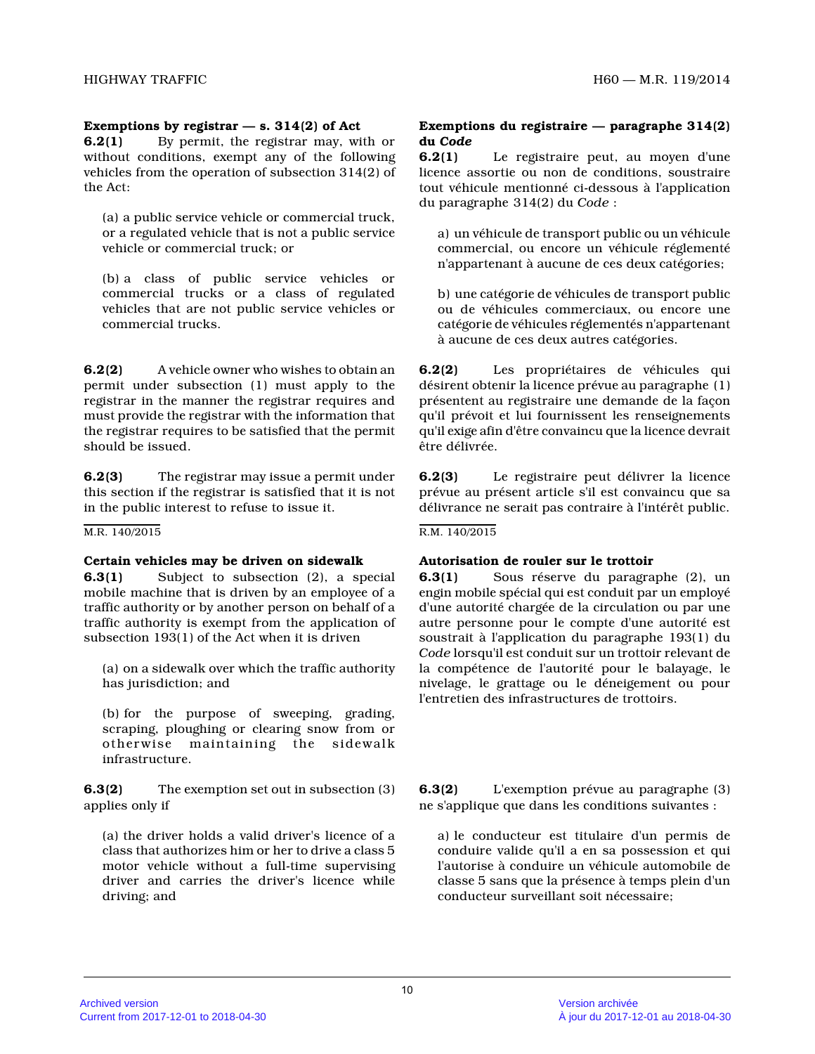# **Exemptions by registrar — s. 314(2) of Act**

**6.2(1)** By permit, the registrar may, with or without conditions, exempt any of the following vehicles from the operation of subsection 314(2) of the Act:

(a) a public service vehicle or commercial truck, or a regulated vehicle that is not a public service vehicle or commercial truck; or

(b) a class of public service vehicles or commercial trucks or a class of regulated vehicles that are not public service vehicles or commercial trucks.

**6.2(2)** A vehicle owner who wishes to obtain an permit under subsection (1) must apply to the registrar in the manner the registrar requires and must provide the registrar with the information tha t the registrar requires to be satisfied that the permit should be issued.

**6.2(3)** The registrar may issue a permit under this section if the registrar is satisfied that it is not in the public interest to refuse to issue it.

M.R. 140/2015

### **Certain vehicles may be driven on sidewalk**

**6.3(1)** Subject to subsection (2), a special mobile machine that is driven by an employee of a traffic authority or by another person on behalf of a traffic authority is exempt from the application of subsection 193(1) of the Act when it is driven

(a) on a sidewalk over which the traffic authority has jurisdiction; and

(b) for the purpose of sweeping, grading, scraping, ploughing or clearing snow from or otherwise maintaining the sidewalk infrastructure.

**6.3(2)** The exemption set out in subsection (3) applies only if

(a) the driver holds a valid driver's licence of a class that authorizes him or her to drive a class 5 motor vehicle without a full-time supervising driver and carries the driver's licence while driving; and

## **Exemptions du registraire — paragraphe 314(2) du** *Code*

**6.2(1)** Le registraire peut, au moyen d'une licence assortie ou non de conditions, soustraire tout véhicule mentionné ci-dessous à l'application du paragraphe 314(2) du *Code* :

a) un véhicule de transport public ou un véhicule commercial, ou encore un véhicule réglementé n'appartenant à aucune de ces deux catégories;

b) une catégorie de véhicules de transport public ou de véhicules commerciaux, ou encore une catégorie de véhicules réglementés n'appartenant à aucune de ces deux autres catégories.

**6.2(2)** Les propriétaires de véhicules qui désirent obtenir la licence prévue au paragraphe (1) présentent au registraire une demande de la façon qu'il prévoit et lui fournissent les renseignements qu'il exige afin d'être convaincu que la licence devrait être délivrée.

**6.2(3)** Le registraire peut délivrer la licence prévue au présent article s'il est convaincu que sa délivrance ne serait pas contraire à l'intérêt public.

R.M. 140/2015

### **Autorisation de rouler sur le trottoir**

**6.3(1)** Sous réserve du paragraphe (2), un engin mobile spécial qui est conduit par un employé d'une autorité chargée de la circulation ou par une autre personne pour le compte d'une autorité est soustrait à l'application du paragraphe 193(1) du *Code* lorsqu'il est conduit sur un trottoir relevant de la compétence de l'autorité pour le balayage, le nivelage, le grattage ou le déneigement ou pour l'entretien des infrastructures de trottoirs.

**6.3(2)** L'exemption prévue au paragraphe (3) ne s'applique que dans les conditions suivantes :

a) le conducteur est titulaire d'un permis de conduire valide qu'il a en sa possession et qui l'autorise à conduire un véhicule automobile de classe 5 sans que la présence à temps plein d'un conducteur surveillant soit nécessaire;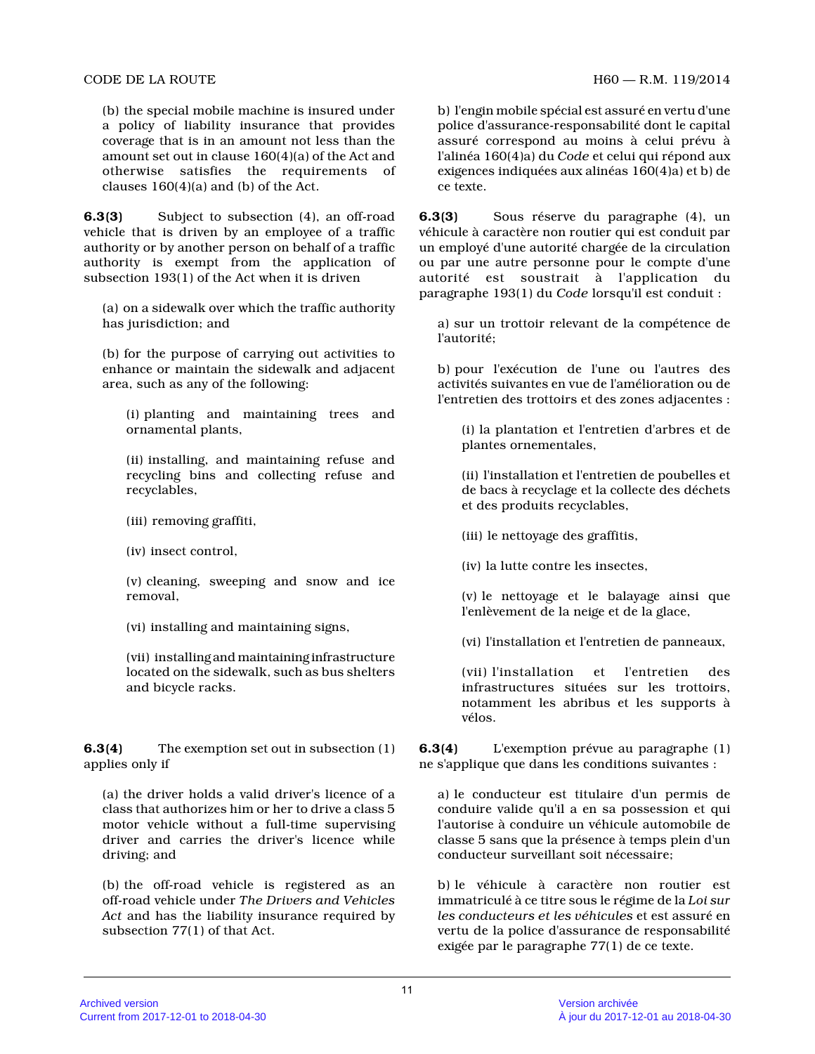(b) the special mobile machine is insured under a policy of liability insurance that provides coverage that is in an amount not less than the amount set out in clause 160(4)(a) of the Act and otherwise satisfies the requirements of clauses 160(4)(a) and (b) of the Act.

**6.3(3)** Subject to subsection (4), an off-road vehicle that is driven by an employee of a traffic authority or by another person on behalf of a traffic authority is exempt from the application of subsection 193(1) of the Act when it is driven

(a) on a sidewalk over which the traffic authority has jurisdiction; and

(b) for the purpose of carrying out activities to enhance or maintain the sidewalk and adjacent area, such as any of the following:

(i) planting and maintaining trees and ornamental plants,

(ii) installing, and maintaining refuse and recycling bins and collecting refuse and recyclables,

- (iii) removing graffiti,
- (iv) insect control,

(v) cleaning, sweeping and snow and ice removal,

(vi) installing and maintaining signs,

(vii) installing and maintaining infrastructure located on the sidewalk, such as bus shelters and bicycle racks.

**6.3(4)** The exemption set out in subsection (1) applies only if

(a) the driver holds a valid driver's licence of a class that authorizes him or her to drive a class 5 motor vehicle without a full-time supervising driver and carries the driver's licence while driving; and

(b) the off-road vehicle is registered as an off-road vehicle under *The Drivers and Vehicles Act* and has the liability insurance required by subsection 77(1) of that Act.

b) l'engin mobile spécial est assuré en vertu d'une police d'assurance-responsabilité dont le capital assuré correspond au moins à celui prévu à l'alinéa 160(4)a) du *Code* et celui qui répond aux exigences indiquées aux alinéas 160(4)a) et b) de ce texte.

**6.3(3)** Sous réserve du paragraphe (4), un véhicule à caractère non routier qui est conduit pa r un employé d'une autorité chargée de la circulation ou par une autre personne pour le compte d'une autorité est soustrait à l'application du paragraphe 193(1) du *Code* lorsqu'il est conduit :

a) sur un trottoir relevant de la compétence de l'autorité;

b) pour l'exécution de l'une ou l'autres des activités suivantes en vue de l'amélioration ou de l'entretien des trottoirs et des zones adjacentes :

(i) la plantation et l'entretien d'arbres et de plantes ornementales,

(ii) l'installation et l'entretien de poubelles et de bacs à recyclage et la collecte des déchets et des produits recyclables,

(iii) le nettoyage des graffitis,

(iv) la lutte contre les insectes,

(v) le nettoyage et le balayage ainsi que l'enlèvement de la neige et de la glace,

(vi) l'installation et l'entretien de panneaux,

(vii) l'installation et l'entretien des infrastructures situées sur les trottoirs, notamment les abribus et les supports à vélos.

**6.3(4)** L'exemption prévue au paragraphe (1) ne s'applique que dans les conditions suivantes :

a) le conducteur est titulaire d'un permis de conduire valide qu'il a en sa possession et qui l'autorise à conduire un véhicule automobile de classe 5 sans que la présence à temps plein d'un conducteur surveillant soit nécessaire;

b) le véhicule à caractère non routier est immatriculé à ce titre sous le régime de la *Loi sur les conducteurs et les véhicules* et est assuré en vertu de la police d'assurance de responsabilité exigée par le paragraphe 77(1) de ce texte.